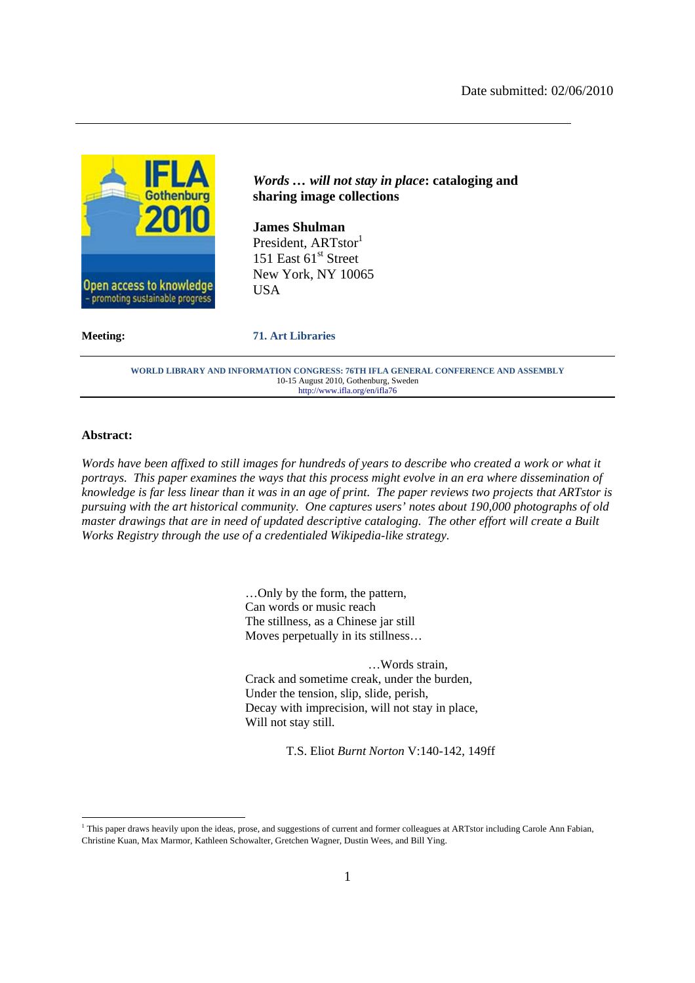

# *Words … will not stay in place***: cataloging and sharing image collections**

**James Shulman**  President, ARTstor<sup>1</sup> 151 East  $61<sup>st</sup>$  Street New York, NY 10065 **USA** 

#### **Meeting: 71. Art Libraries**

**WORLD LIBRARY AND INFORMATION CONGRESS: 76TH IFLA GENERAL CONFERENCE AND ASSEMBLY**  10-15 August 2010, Gothenburg, Sweden http://www.ifla.org/en/ifla76

#### **Abstract:**

-

*Words have been affixed to still images for hundreds of years to describe who created a work or what it portrays. This paper examines the ways that this process might evolve in an era where dissemination of knowledge is far less linear than it was in an age of print. The paper reviews two projects that ARTstor is pursuing with the art historical community. One captures users' notes about 190,000 photographs of old master drawings that are in need of updated descriptive cataloging. The other effort will create a Built Works Registry through the use of a credentialed Wikipedia-like strategy.* 

> …Only by the form, the pattern, Can words or music reach The stillness, as a Chinese jar still Moves perpetually in its stillness…

…Words strain, Crack and sometime creak, under the burden, Under the tension, slip, slide, perish, Decay with imprecision, will not stay in place, Will not stay still.

T.S. Eliot *Burnt Norton* V:140-142, 149ff

<sup>&</sup>lt;sup>1</sup> This paper draws heavily upon the ideas, prose, and suggestions of current and former colleagues at ARTstor including Carole Ann Fabian, Christine Kuan, Max Marmor, Kathleen Schowalter, Gretchen Wagner, Dustin Wees, and Bill Ying.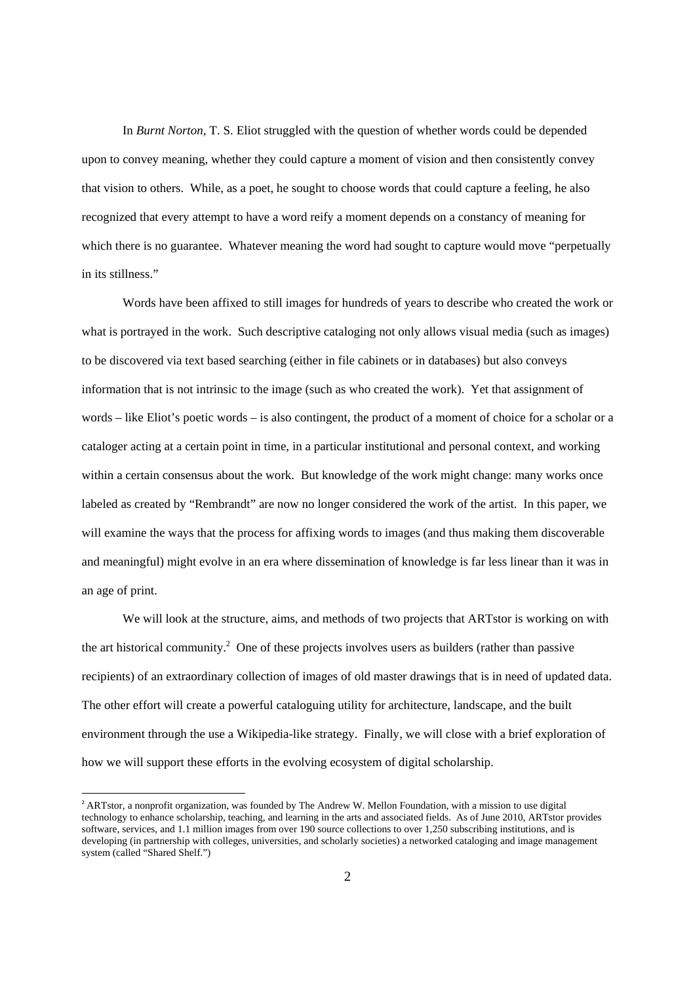In *Burnt Norton,* T. S. Eliot struggled with the question of whether words could be depended upon to convey meaning, whether they could capture a moment of vision and then consistently convey that vision to others. While, as a poet, he sought to choose words that could capture a feeling, he also recognized that every attempt to have a word reify a moment depends on a constancy of meaning for which there is no guarantee. Whatever meaning the word had sought to capture would move "perpetually in its stillness."

Words have been affixed to still images for hundreds of years to describe who created the work or what is portrayed in the work. Such descriptive cataloging not only allows visual media (such as images) to be discovered via text based searching (either in file cabinets or in databases) but also conveys information that is not intrinsic to the image (such as who created the work). Yet that assignment of words – like Eliot's poetic words – is also contingent, the product of a moment of choice for a scholar or a cataloger acting at a certain point in time, in a particular institutional and personal context, and working within a certain consensus about the work. But knowledge of the work might change: many works once labeled as created by "Rembrandt" are now no longer considered the work of the artist. In this paper, we will examine the ways that the process for affixing words to images (and thus making them discoverable and meaningful) might evolve in an era where dissemination of knowledge is far less linear than it was in an age of print.

We will look at the structure, aims, and methods of two projects that ARTstor is working on with the art historical community.<sup>2</sup> One of these projects involves users as builders (rather than passive recipients) of an extraordinary collection of images of old master drawings that is in need of updated data. The other effort will create a powerful cataloguing utility for architecture, landscape, and the built environment through the use a Wikipedia-like strategy. Finally, we will close with a brief exploration of how we will support these efforts in the evolving ecosystem of digital scholarship.

<sup>&</sup>lt;sup>2</sup> ARTstor, a nonprofit organization, was founded by The Andrew W. Mellon Foundation, with a mission to use digital technology to enhance scholarship, teaching, and learning in the arts and associated fields. As of June 2010, ARTstor provides software, services, and 1.1 million images from over 190 source collections to over 1,250 subscribing institutions, and is developing (in partnership with colleges, universities, and scholarly societies) a networked cataloging and image management system (called "Shared Shelf.")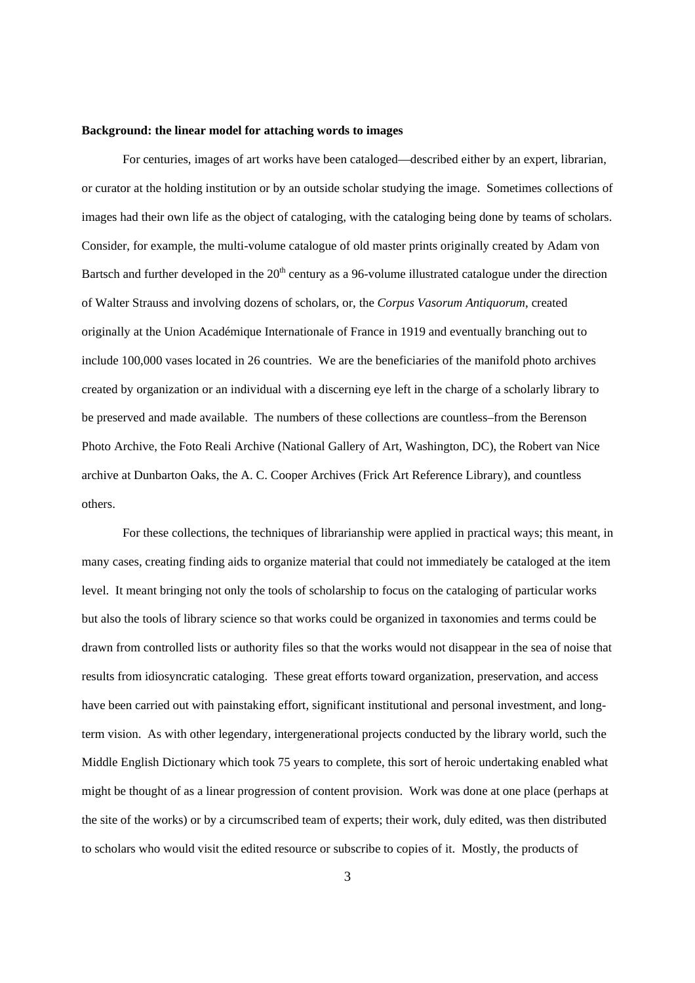#### **Background: the linear model for attaching words to images**

For centuries, images of art works have been cataloged—described either by an expert, librarian, or curator at the holding institution or by an outside scholar studying the image. Sometimes collections of images had their own life as the object of cataloging, with the cataloging being done by teams of scholars. Consider, for example, the multi-volume catalogue of old master prints originally created by Adam von Bartsch and further developed in the  $20<sup>th</sup>$  century as a 96-volume illustrated catalogue under the direction of Walter Strauss and involving dozens of scholars, or, the *Corpus Vasorum Antiquorum*, created originally at the Union Académique Internationale of France in 1919 and eventually branching out to include 100,000 vases located in 26 countries. We are the beneficiaries of the manifold photo archives created by organization or an individual with a discerning eye left in the charge of a scholarly library to be preserved and made available. The numbers of these collections are countless–from the Berenson Photo Archive, the Foto Reali Archive (National Gallery of Art, Washington, DC), the Robert van Nice archive at Dunbarton Oaks, the A. C. Cooper Archives (Frick Art Reference Library), and countless others.

For these collections, the techniques of librarianship were applied in practical ways; this meant, in many cases, creating finding aids to organize material that could not immediately be cataloged at the item level. It meant bringing not only the tools of scholarship to focus on the cataloging of particular works but also the tools of library science so that works could be organized in taxonomies and terms could be drawn from controlled lists or authority files so that the works would not disappear in the sea of noise that results from idiosyncratic cataloging. These great efforts toward organization, preservation, and access have been carried out with painstaking effort, significant institutional and personal investment, and longterm vision. As with other legendary, intergenerational projects conducted by the library world, such the Middle English Dictionary which took 75 years to complete, this sort of heroic undertaking enabled what might be thought of as a linear progression of content provision. Work was done at one place (perhaps at the site of the works) or by a circumscribed team of experts; their work, duly edited, was then distributed to scholars who would visit the edited resource or subscribe to copies of it. Mostly, the products of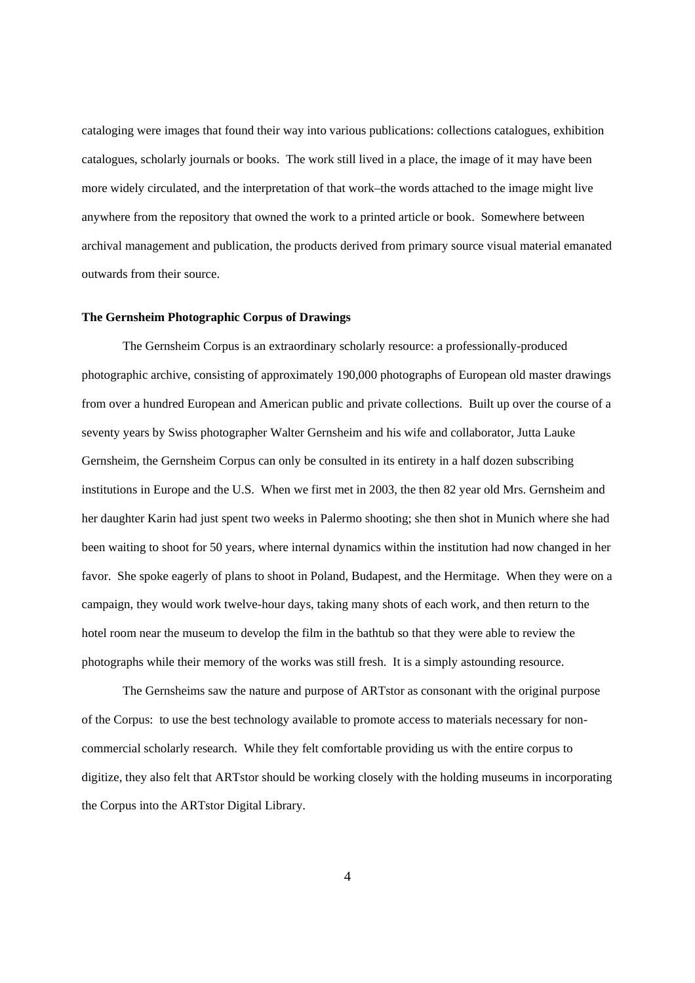cataloging were images that found their way into various publications: collections catalogues, exhibition catalogues, scholarly journals or books. The work still lived in a place, the image of it may have been more widely circulated, and the interpretation of that work–the words attached to the image might live anywhere from the repository that owned the work to a printed article or book. Somewhere between archival management and publication, the products derived from primary source visual material emanated outwards from their source.

#### **The Gernsheim Photographic Corpus of Drawings**

The Gernsheim Corpus is an extraordinary scholarly resource: a professionally-produced photographic archive, consisting of approximately 190,000 photographs of European old master drawings from over a hundred European and American public and private collections. Built up over the course of a seventy years by Swiss photographer Walter Gernsheim and his wife and collaborator, Jutta Lauke Gernsheim, the Gernsheim Corpus can only be consulted in its entirety in a half dozen subscribing institutions in Europe and the U.S. When we first met in 2003, the then 82 year old Mrs. Gernsheim and her daughter Karin had just spent two weeks in Palermo shooting; she then shot in Munich where she had been waiting to shoot for 50 years, where internal dynamics within the institution had now changed in her favor. She spoke eagerly of plans to shoot in Poland, Budapest, and the Hermitage. When they were on a campaign, they would work twelve-hour days, taking many shots of each work, and then return to the hotel room near the museum to develop the film in the bathtub so that they were able to review the photographs while their memory of the works was still fresh. It is a simply astounding resource.

The Gernsheims saw the nature and purpose of ARTstor as consonant with the original purpose of the Corpus: to use the best technology available to promote access to materials necessary for noncommercial scholarly research. While they felt comfortable providing us with the entire corpus to digitize, they also felt that ARTstor should be working closely with the holding museums in incorporating the Corpus into the ARTstor Digital Library.

4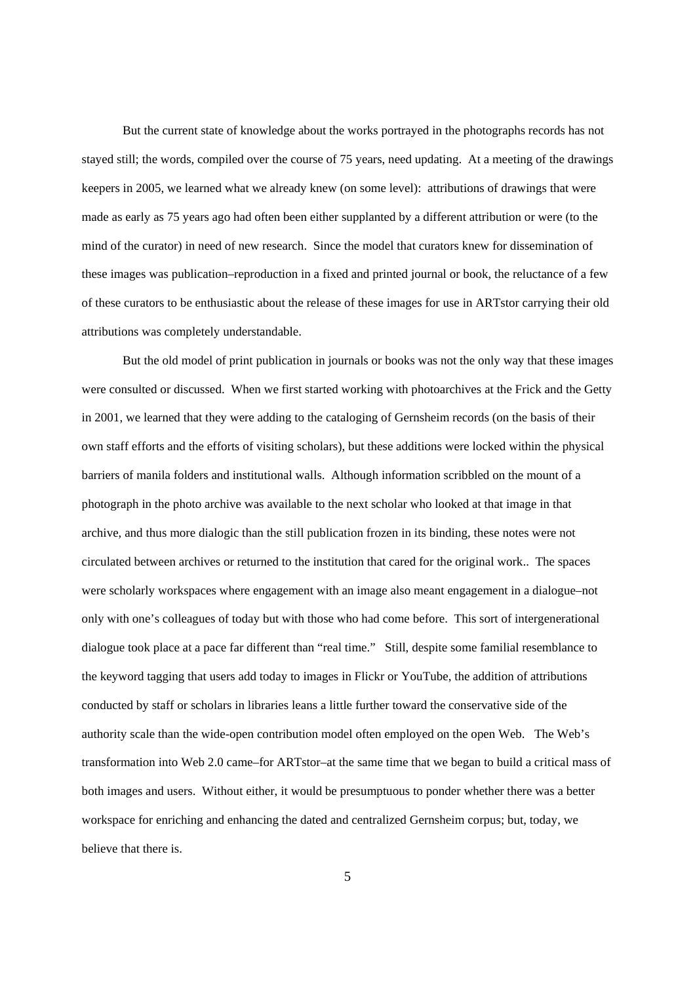But the current state of knowledge about the works portrayed in the photographs records has not stayed still; the words, compiled over the course of 75 years, need updating. At a meeting of the drawings keepers in 2005, we learned what we already knew (on some level): attributions of drawings that were made as early as 75 years ago had often been either supplanted by a different attribution or were (to the mind of the curator) in need of new research. Since the model that curators knew for dissemination of these images was publication–reproduction in a fixed and printed journal or book, the reluctance of a few of these curators to be enthusiastic about the release of these images for use in ARTstor carrying their old attributions was completely understandable.

But the old model of print publication in journals or books was not the only way that these images were consulted or discussed. When we first started working with photoarchives at the Frick and the Getty in 2001, we learned that they were adding to the cataloging of Gernsheim records (on the basis of their own staff efforts and the efforts of visiting scholars), but these additions were locked within the physical barriers of manila folders and institutional walls. Although information scribbled on the mount of a photograph in the photo archive was available to the next scholar who looked at that image in that archive, and thus more dialogic than the still publication frozen in its binding, these notes were not circulated between archives or returned to the institution that cared for the original work.. The spaces were scholarly workspaces where engagement with an image also meant engagement in a dialogue–not only with one's colleagues of today but with those who had come before. This sort of intergenerational dialogue took place at a pace far different than "real time." Still, despite some familial resemblance to the keyword tagging that users add today to images in Flickr or YouTube, the addition of attributions conducted by staff or scholars in libraries leans a little further toward the conservative side of the authority scale than the wide-open contribution model often employed on the open Web. The Web's transformation into Web 2.0 came–for ARTstor–at the same time that we began to build a critical mass of both images and users. Without either, it would be presumptuous to ponder whether there was a better workspace for enriching and enhancing the dated and centralized Gernsheim corpus; but, today, we believe that there is.

5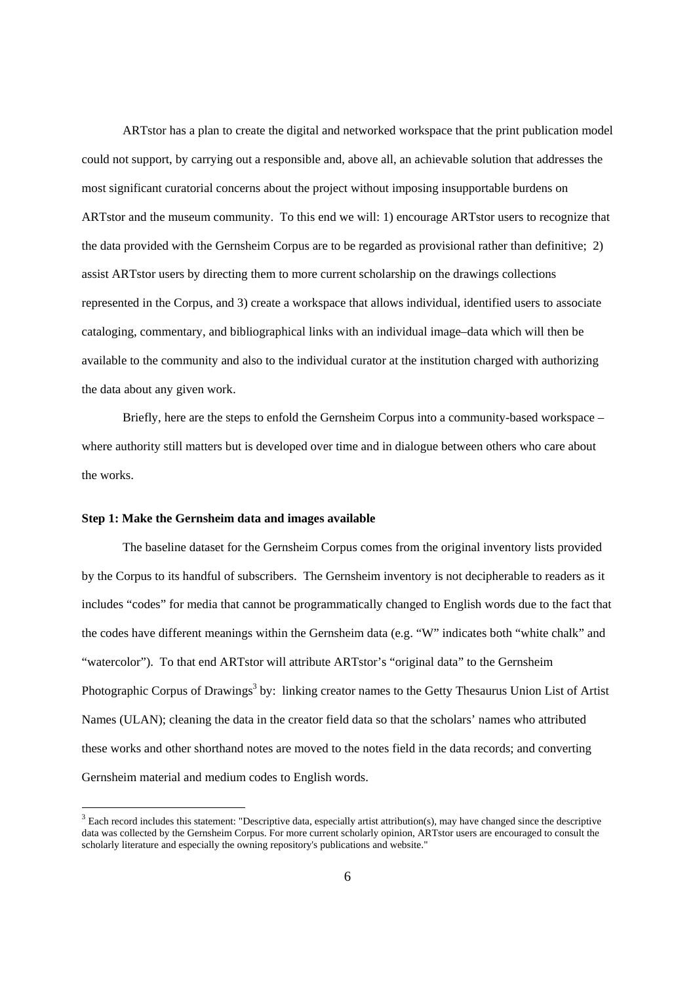ARTstor has a plan to create the digital and networked workspace that the print publication model could not support, by carrying out a responsible and, above all, an achievable solution that addresses the most significant curatorial concerns about the project without imposing insupportable burdens on ARTstor and the museum community. To this end we will: 1) encourage ARTstor users to recognize that the data provided with the Gernsheim Corpus are to be regarded as provisional rather than definitive; 2) assist ARTstor users by directing them to more current scholarship on the drawings collections represented in the Corpus, and 3) create a workspace that allows individual, identified users to associate cataloging, commentary, and bibliographical links with an individual image–data which will then be available to the community and also to the individual curator at the institution charged with authorizing the data about any given work.

Briefly, here are the steps to enfold the Gernsheim Corpus into a community-based workspace – where authority still matters but is developed over time and in dialogue between others who care about the works.

## **Step 1: Make the Gernsheim data and images available**

 $\overline{a}$ 

The baseline dataset for the Gernsheim Corpus comes from the original inventory lists provided by the Corpus to its handful of subscribers. The Gernsheim inventory is not decipherable to readers as it includes "codes" for media that cannot be programmatically changed to English words due to the fact that the codes have different meanings within the Gernsheim data (e.g. "W" indicates both "white chalk" and "watercolor"). To that end ARTstor will attribute ARTstor's "original data" to the Gernsheim Photographic Corpus of Drawings<sup>3</sup> by: linking creator names to the Getty Thesaurus Union List of Artist Names (ULAN); cleaning the data in the creator field data so that the scholars' names who attributed these works and other shorthand notes are moved to the notes field in the data records; and converting Gernsheim material and medium codes to English words.

 $3$  Each record includes this statement: "Descriptive data, especially artist attribution(s), may have changed since the descriptive data was collected by the Gernsheim Corpus. For more current scholarly opinion, ARTstor users are encouraged to consult the scholarly literature and especially the owning repository's publications and website."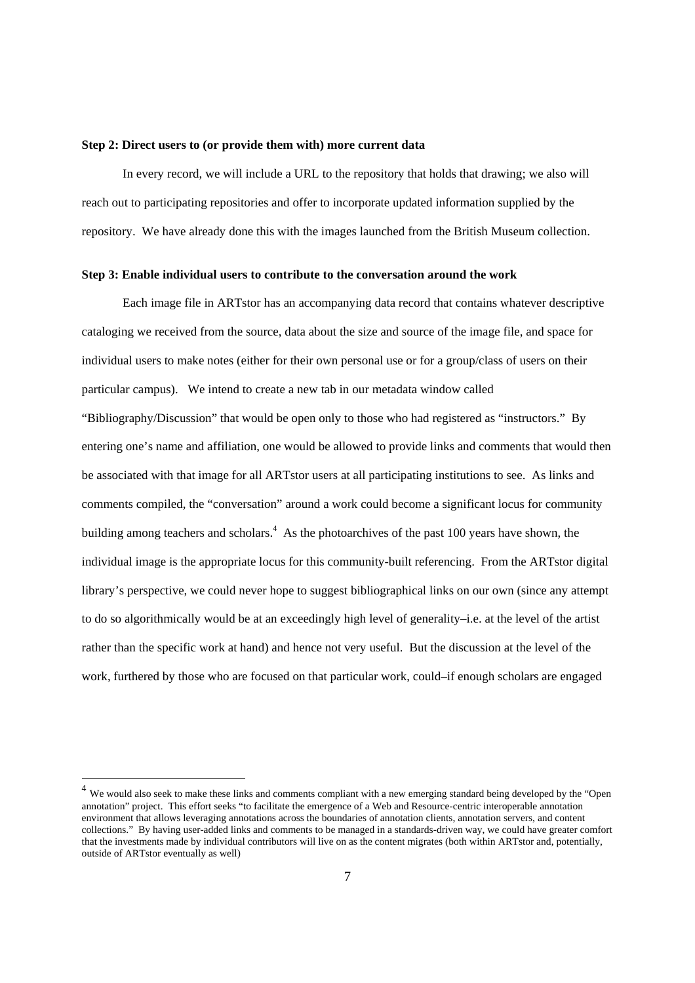### **Step 2: Direct users to (or provide them with) more current data**

In every record, we will include a URL to the repository that holds that drawing; we also will reach out to participating repositories and offer to incorporate updated information supplied by the repository. We have already done this with the images launched from the British Museum collection.

## **Step 3: Enable individual users to contribute to the conversation around the work**

Each image file in ARTstor has an accompanying data record that contains whatever descriptive cataloging we received from the source, data about the size and source of the image file, and space for individual users to make notes (either for their own personal use or for a group/class of users on their particular campus). We intend to create a new tab in our metadata window called "Bibliography/Discussion" that would be open only to those who had registered as "instructors." By entering one's name and affiliation, one would be allowed to provide links and comments that would then be associated with that image for all ARTstor users at all participating institutions to see. As links and comments compiled, the "conversation" around a work could become a significant locus for community building among teachers and scholars.<sup>4</sup> As the photoarchives of the past 100 years have shown, the individual image is the appropriate locus for this community-built referencing. From the ARTstor digital library's perspective, we could never hope to suggest bibliographical links on our own (since any attempt to do so algorithmically would be at an exceedingly high level of generality–i.e. at the level of the artist rather than the specific work at hand) and hence not very useful. But the discussion at the level of the work, furthered by those who are focused on that particular work, could–if enough scholars are engaged

 $\overline{a}$ 

<sup>&</sup>lt;sup>4</sup> We would also seek to make these links and comments compliant with a new emerging standard being developed by the "Open annotation" project. This effort seeks "to facilitate the emergence of a Web and Resource-centric interoperable annotation environment that allows leveraging annotations across the boundaries of annotation clients, annotation servers, and content collections." By having user-added links and comments to be managed in a standards-driven way, we could have greater comfort that the investments made by individual contributors will live on as the content migrates (both within ARTstor and, potentially, outside of ARTstor eventually as well)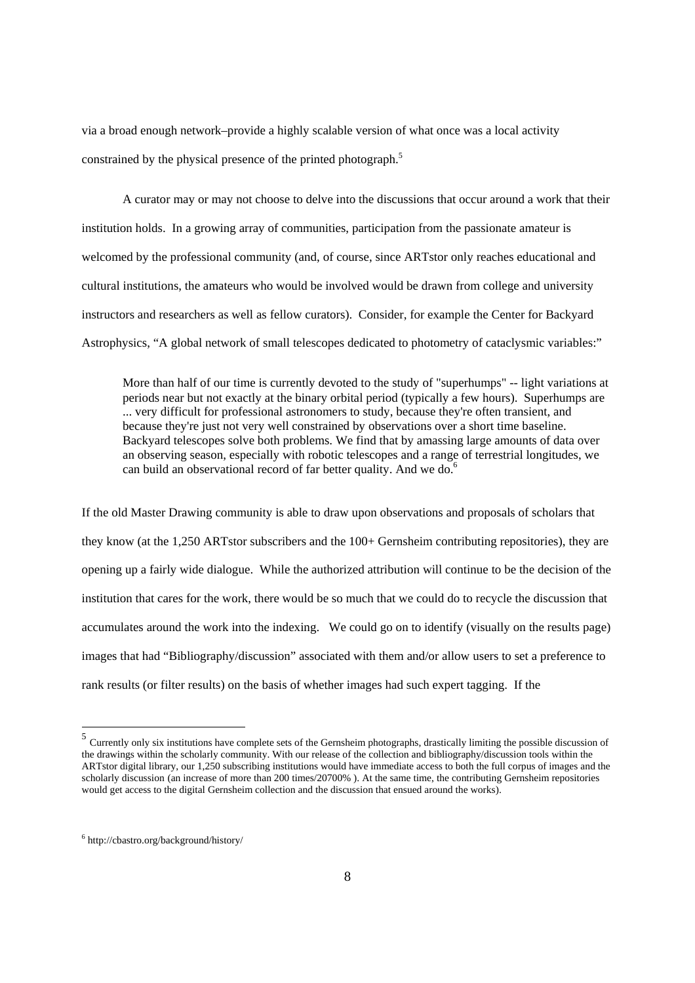via a broad enough network–provide a highly scalable version of what once was a local activity constrained by the physical presence of the printed photograph.<sup>5</sup>

A curator may or may not choose to delve into the discussions that occur around a work that their institution holds. In a growing array of communities, participation from the passionate amateur is welcomed by the professional community (and, of course, since ARTstor only reaches educational and cultural institutions, the amateurs who would be involved would be drawn from college and university instructors and researchers as well as fellow curators). Consider, for example the Center for Backyard Astrophysics, "A global network of small telescopes dedicated to photometry of cataclysmic variables:"

More than half of our time is currently devoted to the study of "superhumps" -- light variations at periods near but not exactly at the binary orbital period (typically a few hours). Superhumps are ... very difficult for professional astronomers to study, because they're often transient, and because they're just not very well constrained by observations over a short time baseline. Backyard telescopes solve both problems. We find that by amassing large amounts of data over an observing season, especially with robotic telescopes and a range of terrestrial longitudes, we can build an observational record of far better quality. And we do.<sup>6</sup>

If the old Master Drawing community is able to draw upon observations and proposals of scholars that they know (at the 1,250 ARTstor subscribers and the 100+ Gernsheim contributing repositories), they are opening up a fairly wide dialogue. While the authorized attribution will continue to be the decision of the institution that cares for the work, there would be so much that we could do to recycle the discussion that accumulates around the work into the indexing. We could go on to identify (visually on the results page) images that had "Bibliography/discussion" associated with them and/or allow users to set a preference to rank results (or filter results) on the basis of whether images had such expert tagging. If the

 $<sup>5</sup>$  Currently only six institutions have complete sets of the Gernsheim photographs, drastically limiting the possible discussion of</sup> the drawings within the scholarly community. With our release of the collection and bibliography/discussion tools within the ARTstor digital library, our 1,250 subscribing institutions would have immediate access to both the full corpus of images and the scholarly discussion (an increase of more than 200 times/20700% ). At the same time, the contributing Gernsheim repositories would get access to the digital Gernsheim collection and the discussion that ensued around the works).

<sup>6</sup> http://cbastro.org/background/history/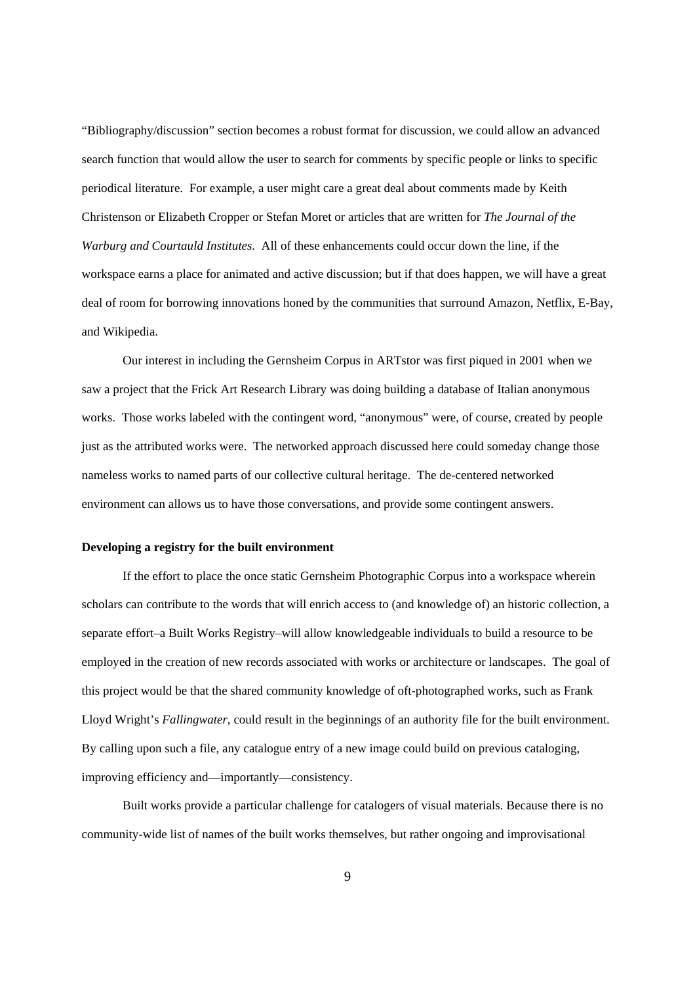"Bibliography/discussion" section becomes a robust format for discussion, we could allow an advanced search function that would allow the user to search for comments by specific people or links to specific periodical literature. For example, a user might care a great deal about comments made by Keith Christenson or Elizabeth Cropper or Stefan Moret or articles that are written for *The Journal of the Warburg and Courtauld Institutes*. All of these enhancements could occur down the line, if the workspace earns a place for animated and active discussion; but if that does happen, we will have a great deal of room for borrowing innovations honed by the communities that surround Amazon, Netflix, E-Bay, and Wikipedia.

Our interest in including the Gernsheim Corpus in ARTstor was first piqued in 2001 when we saw a project that the Frick Art Research Library was doing building a database of Italian anonymous works. Those works labeled with the contingent word, "anonymous" were, of course, created by people just as the attributed works were. The networked approach discussed here could someday change those nameless works to named parts of our collective cultural heritage. The de-centered networked environment can allows us to have those conversations, and provide some contingent answers.

## **Developing a registry for the built environment**

If the effort to place the once static Gernsheim Photographic Corpus into a workspace wherein scholars can contribute to the words that will enrich access to (and knowledge of) an historic collection, a separate effort–a Built Works Registry–will allow knowledgeable individuals to build a resource to be employed in the creation of new records associated with works or architecture or landscapes. The goal of this project would be that the shared community knowledge of oft-photographed works, such as Frank Lloyd Wright's *Fallingwater*, could result in the beginnings of an authority file for the built environment. By calling upon such a file, any catalogue entry of a new image could build on previous cataloging, improving efficiency and—importantly—consistency.

Built works provide a particular challenge for catalogers of visual materials. Because there is no community-wide list of names of the built works themselves, but rather ongoing and improvisational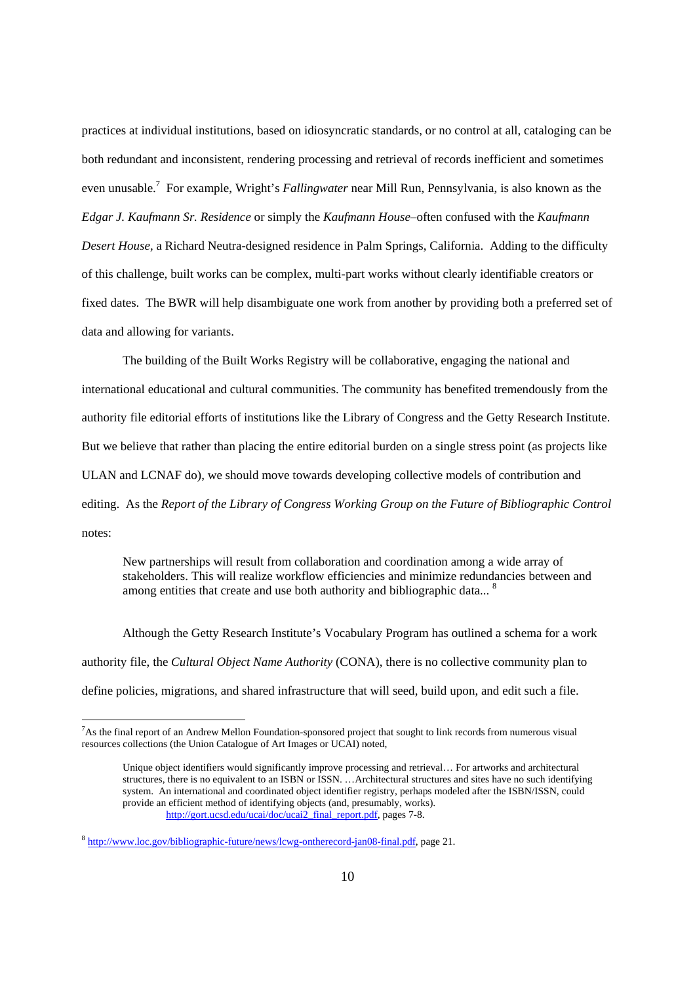practices at individual institutions, based on idiosyncratic standards, or no control at all, cataloging can be both redundant and inconsistent, rendering processing and retrieval of records inefficient and sometimes even unusable.<sup>7</sup> For example, Wright's *Fallingwater* near Mill Run, Pennsylvania, is also known as the *Edgar J. Kaufmann Sr. Residence* or simply the *Kaufmann House*–often confused with the *Kaufmann Desert House,* a Richard Neutra-designed residence in Palm Springs, California. Adding to the difficulty of this challenge, built works can be complex, multi-part works without clearly identifiable creators or fixed dates. The BWR will help disambiguate one work from another by providing both a preferred set of data and allowing for variants.

The building of the Built Works Registry will be collaborative, engaging the national and international educational and cultural communities. The community has benefited tremendously from the authority file editorial efforts of institutions like the Library of Congress and the Getty Research Institute. But we believe that rather than placing the entire editorial burden on a single stress point (as projects like ULAN and LCNAF do), we should move towards developing collective models of contribution and editing. As the *Report of the Library of Congress Working Group on the Future of Bibliographic Control* notes:

New partnerships will result from collaboration and coordination among a wide array of stakeholders. This will realize workflow efficiencies and minimize redundancies between and among entities that create and use both authority and bibliographic data...  $8$ 

Although the Getty Research Institute's Vocabulary Program has outlined a schema for a work authority file, the *Cultural Object Name Authority* (CONA), there is no collective community plan to define policies, migrations, and shared infrastructure that will seed, build upon, and edit such a file.

<sup>&</sup>lt;sup>7</sup>As the final report of an Andrew Mellon Foundation-sponsored project that sought to link records from numerous visual resources collections (the Union Catalogue of Art Images or UCAI) noted,

Unique object identifiers would significantly improve processing and retrieval… For artworks and architectural structures, there is no equivalent to an ISBN or ISSN. …Architectural structures and sites have no such identifying system. An international and coordinated object identifier registry, perhaps modeled after the ISBN/ISSN, could provide an efficient method of identifying objects (and, presumably, works). http://gort.ucsd.edu/ucai/doc/ucai2\_final\_report.pdf, pages 7-8.

<sup>8</sup> http://www.loc.gov/bibliographic-future/news/lcwg-ontherecord-jan08-final.pdf, page 21.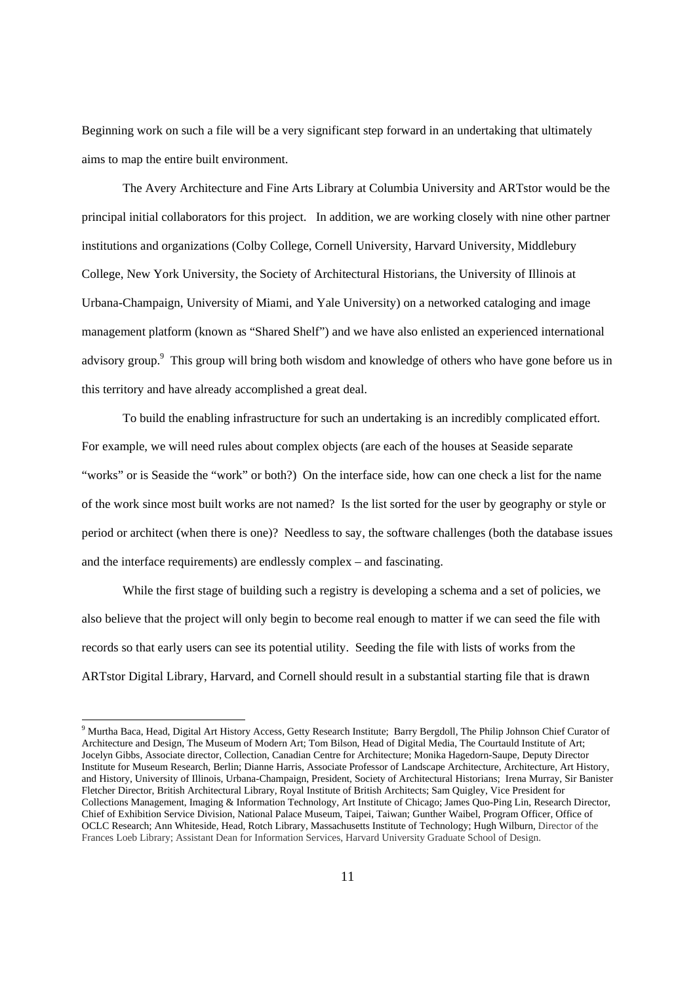Beginning work on such a file will be a very significant step forward in an undertaking that ultimately aims to map the entire built environment.

 The Avery Architecture and Fine Arts Library at Columbia University and ARTstor would be the principal initial collaborators for this project. In addition, we are working closely with nine other partner institutions and organizations (Colby College, Cornell University, Harvard University, Middlebury College, New York University, the Society of Architectural Historians, the University of Illinois at Urbana-Champaign, University of Miami, and Yale University) on a networked cataloging and image management platform (known as "Shared Shelf") and we have also enlisted an experienced international advisory group.<sup>9</sup> This group will bring both wisdom and knowledge of others who have gone before us in this territory and have already accomplished a great deal.

To build the enabling infrastructure for such an undertaking is an incredibly complicated effort. For example, we will need rules about complex objects (are each of the houses at Seaside separate "works" or is Seaside the "work" or both?) On the interface side, how can one check a list for the name of the work since most built works are not named? Is the list sorted for the user by geography or style or period or architect (when there is one)? Needless to say, the software challenges (both the database issues and the interface requirements) are endlessly complex – and fascinating.

While the first stage of building such a registry is developing a schema and a set of policies, we also believe that the project will only begin to become real enough to matter if we can seed the file with records so that early users can see its potential utility. Seeding the file with lists of works from the ARTstor Digital Library, Harvard, and Cornell should result in a substantial starting file that is drawn

<sup>&</sup>lt;sup>9</sup> Murtha Baca, Head, Digital Art History Access, Getty Research Institute; Barry Bergdoll, The Philip Johnson Chief Curator of Architecture and Design, The Museum of Modern Art; Tom Bilson, Head of Digital Media, The Courtauld Institute of Art; Jocelyn Gibbs, Associate director, Collection, Canadian Centre for Architecture; Monika Hagedorn-Saupe, Deputy Director Institute for Museum Research, Berlin; Dianne Harris, Associate Professor of Landscape Architecture, Architecture, Art History, and History, University of Illinois, Urbana-Champaign, President, Society of Architectural Historians; Irena Murray, Sir Banister Fletcher Director, British Architectural Library, Royal Institute of British Architects; Sam Quigley, Vice President for Collections Management, Imaging & Information Technology, Art Institute of Chicago; James Quo-Ping Lin, Research Director, Chief of Exhibition Service Division, National Palace Museum, Taipei, Taiwan; Gunther Waibel, Program Officer, Office of OCLC Research; Ann Whiteside, Head, Rotch Library, Massachusetts Institute of Technology; Hugh Wilburn, Director of the Frances Loeb Library; Assistant Dean for Information Services, Harvard University Graduate School of Design.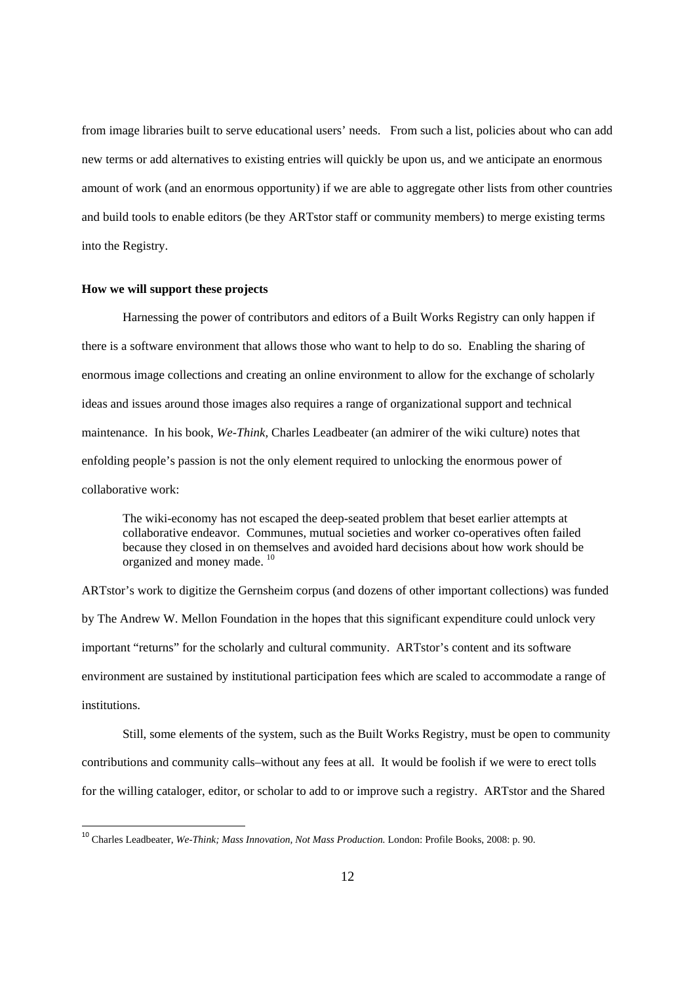from image libraries built to serve educational users' needs. From such a list, policies about who can add new terms or add alternatives to existing entries will quickly be upon us, and we anticipate an enormous amount of work (and an enormous opportunity) if we are able to aggregate other lists from other countries and build tools to enable editors (be they ARTstor staff or community members) to merge existing terms into the Registry.

## **How we will support these projects**

-

Harnessing the power of contributors and editors of a Built Works Registry can only happen if there is a software environment that allows those who want to help to do so. Enabling the sharing of enormous image collections and creating an online environment to allow for the exchange of scholarly ideas and issues around those images also requires a range of organizational support and technical maintenance. In his book, *We-Think,* Charles Leadbeater (an admirer of the wiki culture) notes that enfolding people's passion is not the only element required to unlocking the enormous power of collaborative work:

The wiki-economy has not escaped the deep-seated problem that beset earlier attempts at collaborative endeavor. Communes, mutual societies and worker co-operatives often failed because they closed in on themselves and avoided hard decisions about how work should be organized and money made. 10

ARTstor's work to digitize the Gernsheim corpus (and dozens of other important collections) was funded by The Andrew W. Mellon Foundation in the hopes that this significant expenditure could unlock very important "returns" for the scholarly and cultural community. ARTstor's content and its software environment are sustained by institutional participation fees which are scaled to accommodate a range of institutions.

Still, some elements of the system, such as the Built Works Registry, must be open to community contributions and community calls–without any fees at all. It would be foolish if we were to erect tolls for the willing cataloger, editor, or scholar to add to or improve such a registry. ARTstor and the Shared

<sup>&</sup>lt;sup>10</sup> Charles Leadbeater, *We-Think; Mass Innovation, Not Mass Production*. London: Profile Books, 2008: p. 90.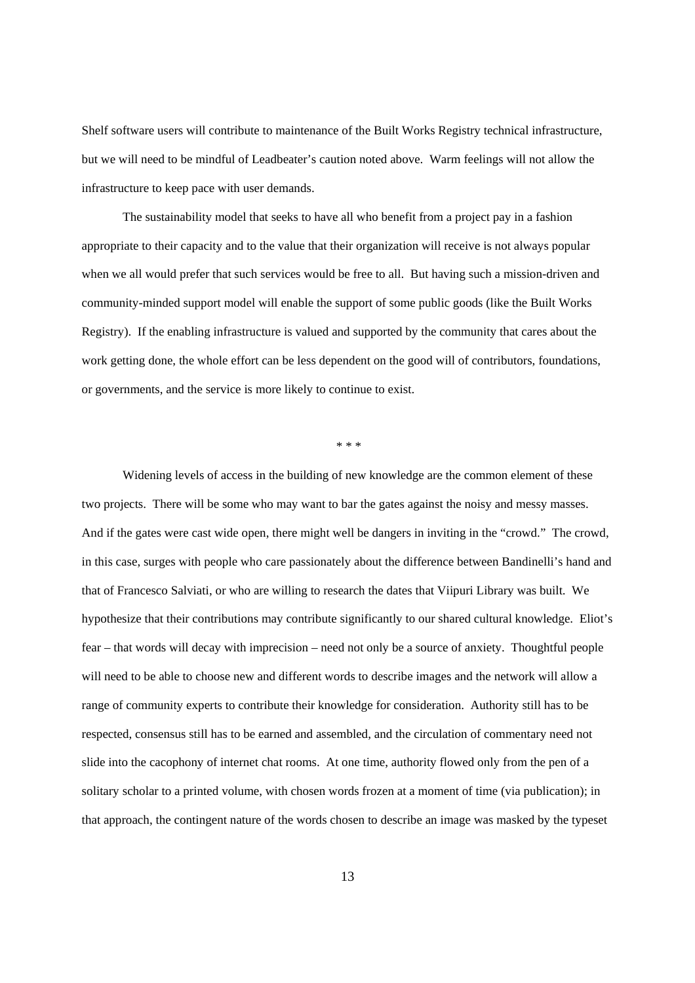Shelf software users will contribute to maintenance of the Built Works Registry technical infrastructure, but we will need to be mindful of Leadbeater's caution noted above. Warm feelings will not allow the infrastructure to keep pace with user demands.

The sustainability model that seeks to have all who benefit from a project pay in a fashion appropriate to their capacity and to the value that their organization will receive is not always popular when we all would prefer that such services would be free to all. But having such a mission-driven and community-minded support model will enable the support of some public goods (like the Built Works Registry). If the enabling infrastructure is valued and supported by the community that cares about the work getting done, the whole effort can be less dependent on the good will of contributors, foundations, or governments, and the service is more likely to continue to exist.

\* \* \*

Widening levels of access in the building of new knowledge are the common element of these two projects. There will be some who may want to bar the gates against the noisy and messy masses. And if the gates were cast wide open, there might well be dangers in inviting in the "crowd." The crowd, in this case, surges with people who care passionately about the difference between Bandinelli's hand and that of Francesco Salviati, or who are willing to research the dates that Viipuri Library was built. We hypothesize that their contributions may contribute significantly to our shared cultural knowledge. Eliot's fear – that words will decay with imprecision – need not only be a source of anxiety. Thoughtful people will need to be able to choose new and different words to describe images and the network will allow a range of community experts to contribute their knowledge for consideration. Authority still has to be respected, consensus still has to be earned and assembled, and the circulation of commentary need not slide into the cacophony of internet chat rooms. At one time, authority flowed only from the pen of a solitary scholar to a printed volume, with chosen words frozen at a moment of time (via publication); in that approach, the contingent nature of the words chosen to describe an image was masked by the typeset